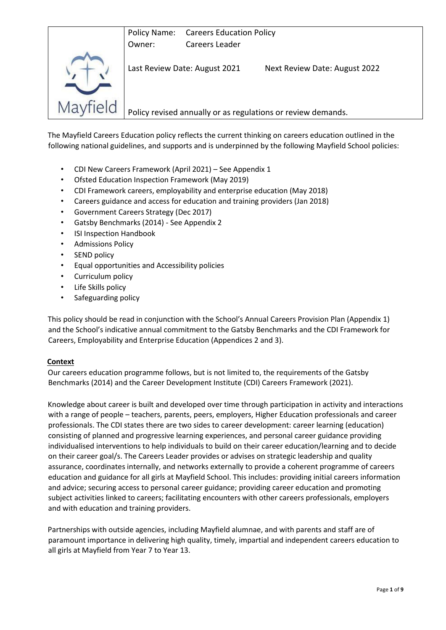

The Mayfield Careers Education policy reflects the current thinking on careers education outlined in the following national guidelines, and supports and is underpinned by the following Mayfield School policies:

- CDI New Careers Framework (April 2021) See Appendix 1
- Ofsted Education Inspection Framework (May 2019)
- CDI Framework careers, employability and enterprise education (May 2018)
- Careers guidance and access for education and training providers (Jan 2018)
- Government Careers Strategy (Dec 2017)
- Gatsby Benchmarks (2014) See Appendix 2
- **ISI Inspection Handbook**
- Admissions Policy
- SEND policy
- Equal opportunities and Accessibility policies
- Curriculum policy
- Life Skills policy
- Safeguarding policy

This policy should be read in conjunction with the School's Annual Careers Provision Plan (Appendix 1) and the School's indicative annual commitment to the Gatsby Benchmarks and the CDI Framework for Careers, Employability and Enterprise Education (Appendices 2 and 3).

#### **Context**

Our careers education programme follows, but is not limited to, the requirements of the Gatsby Benchmarks (2014) and the Career Development Institute (CDI) Careers Framework (2021).

Knowledge about career is built and developed over time through participation in activity and interactions with a range of people – teachers, parents, peers, employers, Higher Education professionals and career professionals. The CDI states there are two sides to career development: career learning (education) consisting of planned and progressive learning experiences, and personal career guidance providing individualised interventions to help individuals to build on their career education/learning and to decide on their career goal/s. The Careers Leader provides or advises on strategic leadership and quality assurance, coordinates internally, and networks externally to provide a coherent programme of careers education and guidance for all girls at Mayfield School. This includes: providing initial careers information and advice; securing access to personal career guidance; providing career education and promoting subject activities linked to careers; facilitating encounters with other careers professionals, employers and with education and training providers.

Partnerships with outside agencies, including Mayfield alumnae, and with parents and staff are of paramount importance in delivering high quality, timely, impartial and independent careers education to all girls at Mayfield from Year 7 to Year 13.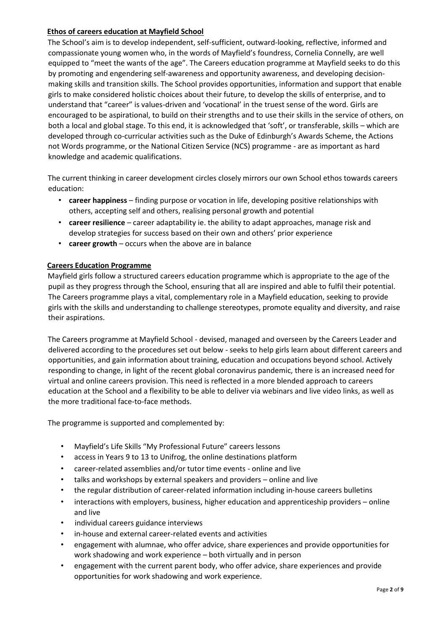#### **Ethos of careers education at Mayfield School**

The School's aim is to develop independent, self-sufficient, outward-looking, reflective, informed and compassionate young women who, in the words of Mayfield's foundress, Cornelia Connelly, are well equipped to "meet the wants of the age". The Careers education programme at Mayfield seeks to do this by promoting and engendering self-awareness and opportunity awareness, and developing decisionmaking skills and transition skills. The School provides opportunities, information and support that enable girls to make considered holistic choices about their future, to develop the skills of enterprise, and to understand that "career" is values-driven and 'vocational' in the truest sense of the word. Girls are encouraged to be aspirational, to build on their strengths and to use their skills in the service of others, on both a local and global stage. To this end, it is acknowledged that 'soft', or transferable, skills – which are developed through co-curricular activities such as the Duke of Edinburgh's Awards Scheme, the Actions not Words programme, or the National Citizen Service (NCS) programme - are as important as hard knowledge and academic qualifications.

The current thinking in career development circles closely mirrors our own School ethos towards careers education:

- **career happiness** finding purpose or vocation in life, developing positive relationships with others, accepting self and others, realising personal growth and potential
- **career resilience** career adaptability ie. the ability to adapt approaches, manage risk and develop strategies for success based on their own and others' prior experience
- **career growth** occurs when the above are in balance

#### **Careers Education Programme**

Mayfield girls follow a structured careers education programme which is appropriate to the age of the pupil as they progress through the School, ensuring that all are inspired and able to fulfil their potential. The Careers programme plays a vital, complementary role in a Mayfield education, seeking to provide girls with the skills and understanding to challenge stereotypes, promote equality and diversity, and raise their aspirations.

The Careers programme at Mayfield School - devised, managed and overseen by the Careers Leader and delivered according to the procedures set out below - seeks to help girls learn about different careers and opportunities, and gain information about training, education and occupations beyond school. Actively responding to change, in light of the recent global coronavirus pandemic, there is an increased need for virtual and online careers provision. This need is reflected in a more blended approach to careers education at the School and a flexibility to be able to deliver via webinars and live video links, as well as the more traditional face-to-face methods.

The programme is supported and complemented by:

- Mayfield's Life Skills "My Professional Future" careers lessons
- access in Years 9 to 13 to Unifrog, the online destinations platform
- career-related assemblies and/or tutor time events online and live
- talks and workshops by external speakers and providers online and live
- the regular distribution of career-related information including in-house careers bulletins
- interactions with employers, business, higher education and apprenticeship providers online and live
- individual careers guidance interviews
- in-house and external career-related events and activities
- engagement with alumnae, who offer advice, share experiences and provide opportunities for work shadowing and work experience – both virtually and in person
- engagement with the current parent body, who offer advice, share experiences and provide opportunities for work shadowing and work experience.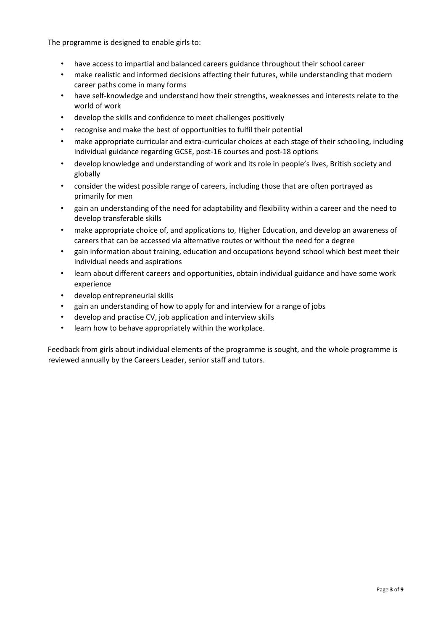The programme is designed to enable girls to:

- have access to impartial and balanced careers guidance throughout their school career
- make realistic and informed decisions affecting their futures, while understanding that modern career paths come in many forms
- have self-knowledge and understand how their strengths, weaknesses and interests relate to the world of work
- develop the skills and confidence to meet challenges positively
- recognise and make the best of opportunities to fulfil their potential
- make appropriate curricular and extra-curricular choices at each stage of their schooling, including individual guidance regarding GCSE, post-16 courses and post-18 options
- develop knowledge and understanding of work and its role in people's lives, British society and globally
- consider the widest possible range of careers, including those that are often portrayed as primarily for men
- gain an understanding of the need for adaptability and flexibility within a career and the need to develop transferable skills
- make appropriate choice of, and applications to, Higher Education, and develop an awareness of careers that can be accessed via alternative routes or without the need for a degree
- gain information about training, education and occupations beyond school which best meet their individual needs and aspirations
- learn about different careers and opportunities, obtain individual guidance and have some work experience
- develop entrepreneurial skills
- gain an understanding of how to apply for and interview for a range of jobs
- develop and practise CV, job application and interview skills
- learn how to behave appropriately within the workplace.

Feedback from girls about individual elements of the programme is sought, and the whole programme is reviewed annually by the Careers Leader, senior staff and tutors.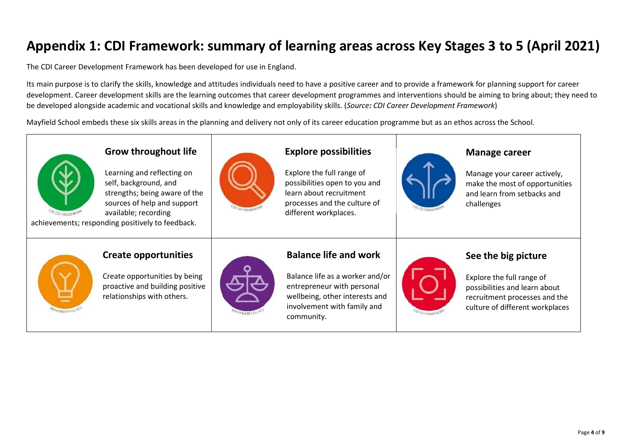# **Appendix 1: CDI Framework: summary of learning areas across Key Stages 3 to 5 (April 2021)**

The CDI Career Development Framework has been developed for use in England.

Its main purpose is to clarify the skills, knowledge and attitudes individuals need to have a positive career and to provide a framework for planning support for career development. Career development skills are the learning outcomes that career development programmes and interventions should be aiming to bring about; they need to be developed alongside academic and vocational skills and knowledge and employability skills. (*Source: CDI Career Development Framework*)

Mayfield School embeds these six skills areas in the planning and delivery not only of its career education programme but as an ethos across the School.



# **Grow throughout life**

Learning and reflecting on self, background, and strengths; being aware of the sources of help and support available; recording



## **Explore possibilities**

Explore the full range of possibilities open to you and learn about recruitment processes and the culture of different workplaces.

### **Manage career**

Manage your career actively, make the most of opportunities and learn from setbacks and challenges

achievements; responding positively to feedback.



#### **Create opportunities**

Create opportunities by being proactive and building positive relationships with others.



## **Balance life and work**

Balance life as a worker and/or entrepreneur with personal wellbeing, other interests and involvement with family and community.



## **See the big picture**

Explore the full range of possibilities and learn about recruitment processes and the culture of different workplaces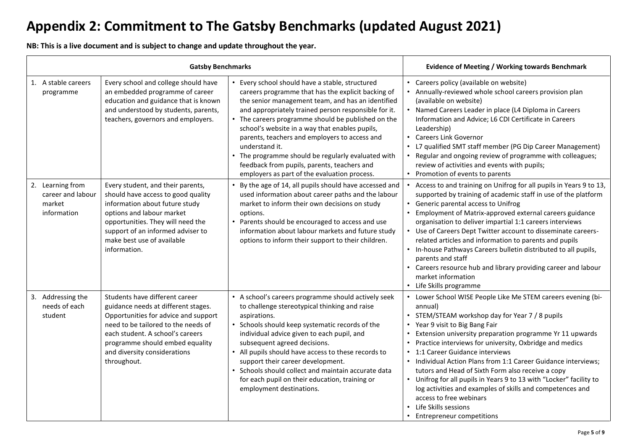# **Appendix 2: Commitment to The Gatsby Benchmarks (updated August 2021)**

**NB: This is a live document and is subject to change and update throughout the year.**

| <b>Gatsby Benchmarks</b> |                                                                |                                                                                                                                                                                                                                                                            |                                                                                                                                                                                                                                                                                                                                                                                                                                                                                                                                                    | <b>Evidence of Meeting / Working towards Benchmark</b>                                                                                                                                                                                                                                                                                                                                                                                                                                                                                                                                                                                                                |
|--------------------------|----------------------------------------------------------------|----------------------------------------------------------------------------------------------------------------------------------------------------------------------------------------------------------------------------------------------------------------------------|----------------------------------------------------------------------------------------------------------------------------------------------------------------------------------------------------------------------------------------------------------------------------------------------------------------------------------------------------------------------------------------------------------------------------------------------------------------------------------------------------------------------------------------------------|-----------------------------------------------------------------------------------------------------------------------------------------------------------------------------------------------------------------------------------------------------------------------------------------------------------------------------------------------------------------------------------------------------------------------------------------------------------------------------------------------------------------------------------------------------------------------------------------------------------------------------------------------------------------------|
|                          | 1. A stable careers<br>programme                               | Every school and college should have<br>an embedded programme of career<br>education and guidance that is known<br>and understood by students, parents,<br>teachers, governors and employers.                                                                              | • Every school should have a stable, structured<br>careers programme that has the explicit backing of<br>the senior management team, and has an identified<br>and appropriately trained person responsible for it.<br>• The careers programme should be published on the<br>school's website in a way that enables pupils,<br>parents, teachers and employers to access and<br>understand it.<br>• The programme should be regularly evaluated with<br>feedback from pupils, parents, teachers and<br>employers as part of the evaluation process. | • Careers policy (available on website)<br>• Annually-reviewed whole school careers provision plan<br>(available on website)<br>• Named Careers Leader in place (L4 Diploma in Careers<br>Information and Advice; L6 CDI Certificate in Careers<br>Leadership)<br>• Careers Link Governor<br>• L7 qualified SMT staff member (PG Dip Career Management)<br>• Regular and ongoing review of programme with colleagues;<br>review of activities and events with pupils;<br>• Promotion of events to parents                                                                                                                                                             |
|                          | 2. Learning from<br>career and labour<br>market<br>information | Every student, and their parents,<br>should have access to good quality<br>information about future study<br>options and labour market<br>opportunities. They will need the<br>support of an informed adviser to<br>make best use of available<br>information.             | • By the age of 14, all pupils should have accessed and<br>used information about career paths and the labour<br>market to inform their own decisions on study<br>options.<br>• Parents should be encouraged to access and use<br>information about labour markets and future study<br>options to inform their support to their children.                                                                                                                                                                                                          | Access to and training on Unifrog for all pupils in Years 9 to 13,<br>supported by training of academic staff in use of the platform<br>• Generic parental access to Unifrog<br>• Employment of Matrix-approved external careers guidance<br>organisation to deliver impartial 1:1 careers interviews<br>• Use of Careers Dept Twitter account to disseminate careers-<br>related articles and information to parents and pupils<br>• In-house Pathways Careers bulletin distributed to all pupils,<br>parents and staff<br>• Careers resource hub and library providing career and labour<br>market information<br>• Life Skills programme                           |
|                          | 3. Addressing the<br>needs of each<br>student                  | Students have different career<br>guidance needs at different stages.<br>Opportunities for advice and support<br>need to be tailored to the needs of<br>each student. A school's careers<br>programme should embed equality<br>and diversity considerations<br>throughout. | • A school's careers programme should actively seek<br>to challenge stereotypical thinking and raise<br>aspirations.<br>• Schools should keep systematic records of the<br>individual advice given to each pupil, and<br>subsequent agreed decisions.<br>• All pupils should have access to these records to<br>support their career development.<br>• Schools should collect and maintain accurate data<br>for each pupil on their education, training or<br>employment destinations.                                                             | • Lower School WISE People Like Me STEM careers evening (bi-<br>annual)<br>• STEM/STEAM workshop day for Year 7 / 8 pupils<br>• Year 9 visit to Big Bang Fair<br>Extension university preparation programme Yr 11 upwards<br>• Practice interviews for university, Oxbridge and medics<br>• 1:1 Career Guidance interviews<br>• Individual Action Plans from 1:1 Career Guidance interviews;<br>tutors and Head of Sixth Form also receive a copy<br>• Unifrog for all pupils in Years 9 to 13 with "Locker" facility to<br>log activities and examples of skills and competences and<br>access to free webinars<br>Life Skills sessions<br>Entrepreneur competitions |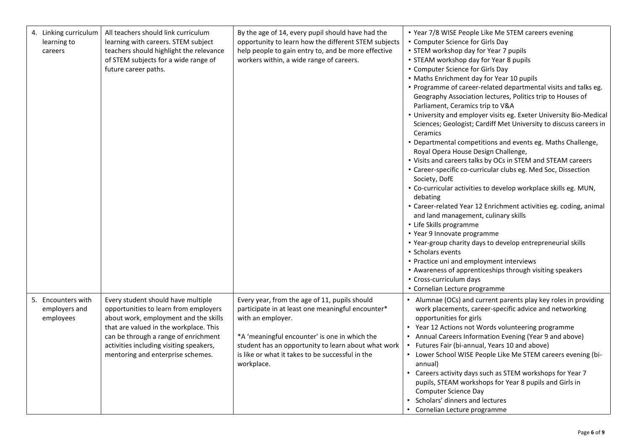| 4. Linking curriculum<br>learning to<br>careers  | All teachers should link curriculum<br>learning with careers. STEM subject<br>teachers should highlight the relevance<br>of STEM subjects for a wide range of<br>future career paths.                                                                                                  | By the age of 14, every pupil should have had the<br>opportunity to learn how the different STEM subjects<br>help people to gain entry to, and be more effective<br>workers within, a wide range of careers.                                                                                      | • Year 7/8 WISE People Like Me STEM careers evening<br>• Computer Science for Girls Day<br>• STEM workshop day for Year 7 pupils<br>• STEAM workshop day for Year 8 pupils<br>• Computer Science for Girls Day<br>• Maths Enrichment day for Year 10 pupils<br>• Programme of career-related departmental visits and talks eg.<br>Geography Association lectures, Politics trip to Houses of<br>Parliament, Ceramics trip to V&A<br>• University and employer visits eg. Exeter University Bio-Medical<br>Sciences; Geologist; Cardiff Met University to discuss careers in<br>Ceramics<br>• Departmental competitions and events eg. Maths Challenge,<br>Royal Opera House Design Challenge,<br>• Visits and careers talks by OCs in STEM and STEAM careers<br>• Career-specific co-curricular clubs eg. Med Soc, Dissection<br>Society, DofE<br>• Co-curricular activities to develop workplace skills eg. MUN,<br>debating<br>• Career-related Year 12 Enrichment activities eg. coding, animal<br>and land management, culinary skills<br>• Life Skills programme<br>• Year 9 Innovate programme<br>• Year-group charity days to develop entrepreneurial skills<br>• Scholars events<br>• Practice uni and employment interviews<br>• Awareness of apprenticeships through visiting speakers<br>• Cross-curriculum days<br>• Cornelian Lecture programme |
|--------------------------------------------------|----------------------------------------------------------------------------------------------------------------------------------------------------------------------------------------------------------------------------------------------------------------------------------------|---------------------------------------------------------------------------------------------------------------------------------------------------------------------------------------------------------------------------------------------------------------------------------------------------|--------------------------------------------------------------------------------------------------------------------------------------------------------------------------------------------------------------------------------------------------------------------------------------------------------------------------------------------------------------------------------------------------------------------------------------------------------------------------------------------------------------------------------------------------------------------------------------------------------------------------------------------------------------------------------------------------------------------------------------------------------------------------------------------------------------------------------------------------------------------------------------------------------------------------------------------------------------------------------------------------------------------------------------------------------------------------------------------------------------------------------------------------------------------------------------------------------------------------------------------------------------------------------------------------------------------------------------------------------------|
| 5. Encounters with<br>employers and<br>employees | Every student should have multiple<br>opportunities to learn from employers<br>about work, employment and the skills<br>that are valued in the workplace. This<br>can be through a range of enrichment<br>activities including visiting speakers,<br>mentoring and enterprise schemes. | Every year, from the age of 11, pupils should<br>participate in at least one meaningful encounter*<br>with an employer.<br>*A 'meaningful encounter' is one in which the<br>student has an opportunity to learn about what work<br>is like or what it takes to be successful in the<br>workplace. | • Alumnae (OCs) and current parents play key roles in providing<br>work placements, career-specific advice and networking<br>opportunities for girls<br>Year 12 Actions not Words volunteering programme<br>Annual Careers Information Evening (Year 9 and above)<br>Futures Fair (bi-annual, Years 10 and above)<br>• Lower School WISE People Like Me STEM careers evening (bi-<br>annual)<br>Careers activity days such as STEM workshops for Year 7<br>pupils, STEAM workshops for Year 8 pupils and Girls in<br><b>Computer Science Day</b><br>Scholars' dinners and lectures<br>Cornelian Lecture programme                                                                                                                                                                                                                                                                                                                                                                                                                                                                                                                                                                                                                                                                                                                                            |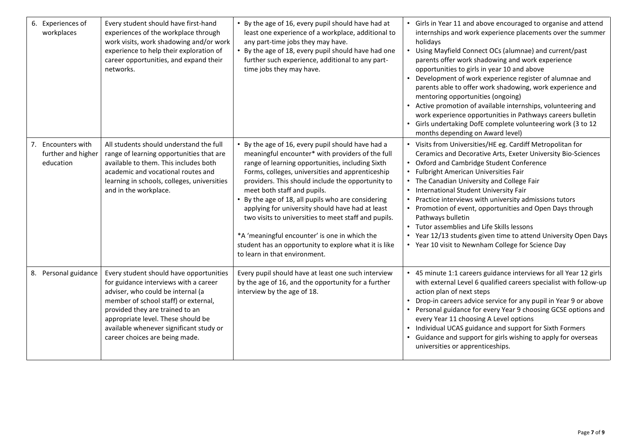| 6. Experiences of<br>workplaces                          | Every student should have first-hand<br>experiences of the workplace through<br>work visits, work shadowing and/or work<br>experience to help their exploration of<br>career opportunities, and expand their<br>networks.                                                                                           | • By the age of 16, every pupil should have had at<br>least one experience of a workplace, additional to<br>any part-time jobs they may have.<br>• By the age of 18, every pupil should have had one<br>further such experience, additional to any part-<br>time jobs they may have.                                                                                                                                                                                                                                                                                                                           | • Girls in Year 11 and above encouraged to organise and attend<br>internships and work experience placements over the summer<br>holidavs<br>• Using Mayfield Connect OCs (alumnae) and current/past<br>parents offer work shadowing and work experience<br>opportunities to girls in year 10 and above<br>Development of work experience register of alumnae and<br>parents able to offer work shadowing, work experience and<br>mentoring opportunities (ongoing)<br>• Active promotion of available internships, volunteering and<br>work experience opportunities in Pathways careers bulletin<br>• Girls undertaking DofE complete volunteering work (3 to 12<br>months depending on Award level) |
|----------------------------------------------------------|---------------------------------------------------------------------------------------------------------------------------------------------------------------------------------------------------------------------------------------------------------------------------------------------------------------------|----------------------------------------------------------------------------------------------------------------------------------------------------------------------------------------------------------------------------------------------------------------------------------------------------------------------------------------------------------------------------------------------------------------------------------------------------------------------------------------------------------------------------------------------------------------------------------------------------------------|-------------------------------------------------------------------------------------------------------------------------------------------------------------------------------------------------------------------------------------------------------------------------------------------------------------------------------------------------------------------------------------------------------------------------------------------------------------------------------------------------------------------------------------------------------------------------------------------------------------------------------------------------------------------------------------------------------|
| Encounters with<br>7.<br>further and higher<br>education | All students should understand the full<br>range of learning opportunities that are<br>available to them. This includes both<br>academic and vocational routes and<br>learning in schools, colleges, universities<br>and in the workplace.                                                                          | • By the age of 16, every pupil should have had a<br>meaningful encounter* with providers of the full<br>range of learning opportunities, including Sixth<br>Forms, colleges, universities and apprenticeship<br>providers. This should include the opportunity to<br>meet both staff and pupils.<br>• By the age of 18, all pupils who are considering<br>applying for university should have had at least<br>two visits to universities to meet staff and pupils.<br>*A 'meaningful encounter' is one in which the<br>student has an opportunity to explore what it is like<br>to learn in that environment. | • Visits from Universities/HE eg. Cardiff Metropolitan for<br>Ceramics and Decorative Arts, Exeter University Bio-Sciences<br>• Oxford and Cambridge Student Conference<br>• Fulbright American Universities Fair<br>• The Canadian University and College Fair<br>• International Student University Fair<br>• Practice interviews with university admissions tutors<br>• Promotion of event, opportunities and Open Days through<br>Pathways bulletin<br>• Tutor assemblies and Life Skills lessons<br>• Year 12/13 students given time to attend University Open Days<br>• Year 10 visit to Newnham College for Science Day                                                                        |
| 8. Personal guidance                                     | Every student should have opportunities<br>for guidance interviews with a career<br>adviser, who could be internal (a<br>member of school staff) or external,<br>provided they are trained to an<br>appropriate level. These should be<br>available whenever significant study or<br>career choices are being made. | Every pupil should have at least one such interview<br>by the age of 16, and the opportunity for a further<br>interview by the age of 18.                                                                                                                                                                                                                                                                                                                                                                                                                                                                      | • 45 minute 1:1 careers guidance interviews for all Year 12 girls<br>with external Level 6 qualified careers specialist with follow-up<br>action plan of next steps<br>Drop-in careers advice service for any pupil in Year 9 or above<br>• Personal guidance for every Year 9 choosing GCSE options and<br>every Year 11 choosing A Level options<br>• Individual UCAS guidance and support for Sixth Formers<br>Guidance and support for girls wishing to apply for overseas<br>universities or apprenticeships.                                                                                                                                                                                    |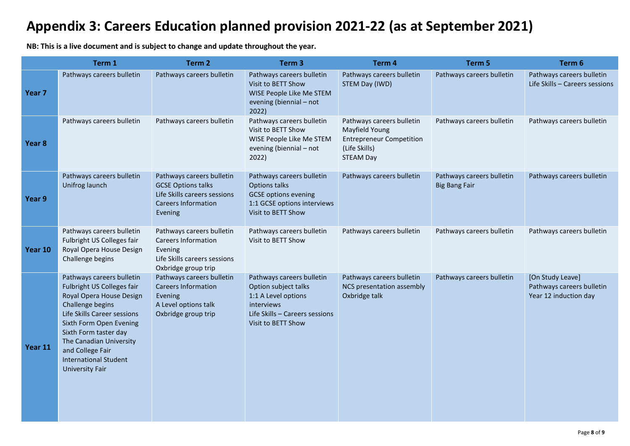# **Appendix 3: Careers Education planned provision 2021-22 (as at September 2021)**

**NB: This is a live document and is subject to change and update throughout the year.**

|                   | Term 1                                                                                                                                                                                                                                                                                              | Term <sub>2</sub>                                                                                                               | Term <sub>3</sub>                                                                                                                              | Term 4                                                                                                              | Term 5                                            | Term 6                                                                 |
|-------------------|-----------------------------------------------------------------------------------------------------------------------------------------------------------------------------------------------------------------------------------------------------------------------------------------------------|---------------------------------------------------------------------------------------------------------------------------------|------------------------------------------------------------------------------------------------------------------------------------------------|---------------------------------------------------------------------------------------------------------------------|---------------------------------------------------|------------------------------------------------------------------------|
| Year <sub>7</sub> | Pathways careers bulletin                                                                                                                                                                                                                                                                           | Pathways careers bulletin                                                                                                       | Pathways careers bulletin<br>Visit to BETT Show<br>WISE People Like Me STEM<br>evening (biennial - not<br>2022)                                | Pathways careers bulletin<br>STEM Day (IWD)                                                                         | Pathways careers bulletin                         | Pathways careers bulletin<br>Life Skills - Careers sessions            |
| Year 8            | Pathways careers bulletin                                                                                                                                                                                                                                                                           | Pathways careers bulletin                                                                                                       | Pathways careers bulletin<br>Visit to BETT Show<br>WISE People Like Me STEM<br>evening (biennial - not<br>2022)                                | Pathways careers bulletin<br>Mayfield Young<br><b>Entrepreneur Competition</b><br>(Life Skills)<br><b>STEAM Day</b> | Pathways careers bulletin                         | Pathways careers bulletin                                              |
| Year 9            | Pathways careers bulletin<br>Unifrog launch                                                                                                                                                                                                                                                         | Pathways careers bulletin<br><b>GCSE Options talks</b><br>Life Skills careers sessions<br><b>Careers Information</b><br>Evening | Pathways careers bulletin<br><b>Options talks</b><br><b>GCSE</b> options evening<br>1:1 GCSE options interviews<br>Visit to BETT Show          | Pathways careers bulletin                                                                                           | Pathways careers bulletin<br><b>Big Bang Fair</b> | Pathways careers bulletin                                              |
| Year 10           | Pathways careers bulletin<br>Fulbright US Colleges fair<br>Royal Opera House Design<br>Challenge begins                                                                                                                                                                                             | Pathways careers bulletin<br><b>Careers Information</b><br>Evening<br>Life Skills careers sessions<br>Oxbridge group trip       | Pathways careers bulletin<br>Visit to BETT Show                                                                                                | Pathways careers bulletin                                                                                           | Pathways careers bulletin                         | Pathways careers bulletin                                              |
| Year 11           | Pathways careers bulletin<br>Fulbright US Colleges fair<br>Royal Opera House Design<br>Challenge begins<br>Life Skills Career sessions<br>Sixth Form Open Evening<br>Sixth Form taster day<br>The Canadian University<br>and College Fair<br><b>International Student</b><br><b>University Fair</b> | Pathways careers bulletin<br><b>Careers Information</b><br>Evening<br>A Level options talk<br>Oxbridge group trip               | Pathways careers bulletin<br>Option subject talks<br>1:1 A Level options<br>interviews<br>Life Skills - Careers sessions<br>Visit to BETT Show | Pathways careers bulletin<br>NCS presentation assembly<br>Oxbridge talk                                             | Pathways careers bulletin                         | [On Study Leave]<br>Pathways careers bulletin<br>Year 12 induction day |